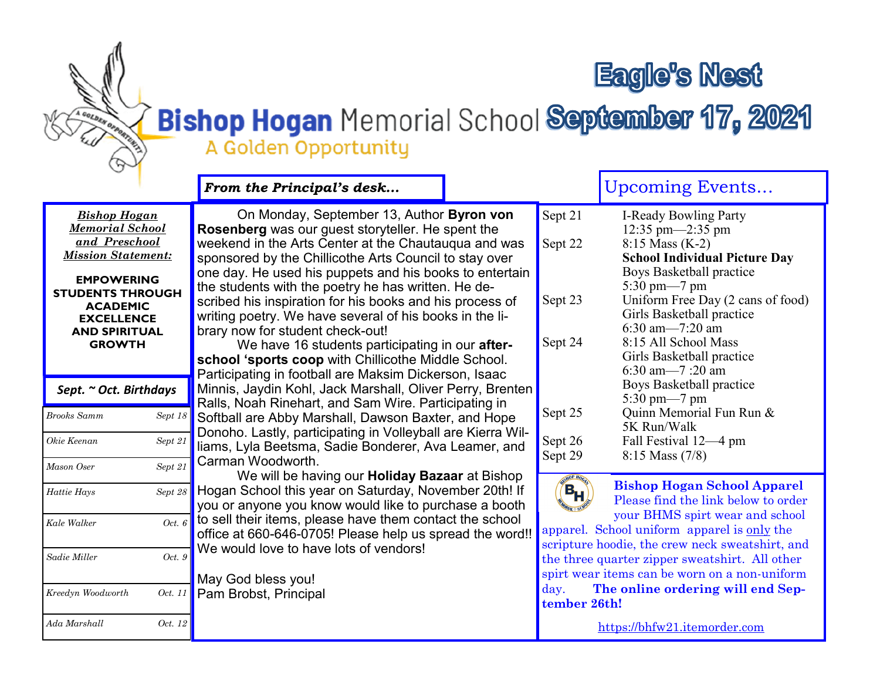# **Eagle's Nest**

## Bishop Hogan Memorial School September 17, 2021 A Golden Opportunity

A COLDER OF DEBATES

|                                                                                                                                                                                                                              | From the Principal's desk                                                                                                                                                                                                                                                                                                                                                                                                                                                                                                                                                                                                                                               |                                          | <b>Upcoming Events</b>                                                                                                                                                                                                                                                                                              |
|------------------------------------------------------------------------------------------------------------------------------------------------------------------------------------------------------------------------------|-------------------------------------------------------------------------------------------------------------------------------------------------------------------------------------------------------------------------------------------------------------------------------------------------------------------------------------------------------------------------------------------------------------------------------------------------------------------------------------------------------------------------------------------------------------------------------------------------------------------------------------------------------------------------|------------------------------------------|---------------------------------------------------------------------------------------------------------------------------------------------------------------------------------------------------------------------------------------------------------------------------------------------------------------------|
| <b>Bishop Hogan</b><br><b>Memorial School</b><br>and Preschool<br><b>Mission Statement:</b><br><b>EMPOWERING</b><br><b>STUDENTS THROUGH</b><br><b>ACADEMIC</b><br><b>EXCELLENCE</b><br><b>AND SPIRITUAL</b><br><b>GROWTH</b> | On Monday, September 13, Author Byron von<br><b>Rosenberg</b> was our guest storyteller. He spent the<br>weekend in the Arts Center at the Chautauqua and was<br>sponsored by the Chillicothe Arts Council to stay over<br>one day. He used his puppets and his books to entertain<br>the students with the poetry he has written. He de-<br>scribed his inspiration for his books and his process of<br>writing poetry. We have several of his books in the li-<br>brary now for student check-out!<br>We have 16 students participating in our after-<br>school 'sports coop with Chillicothe Middle School.<br>Participating in football are Maksim Dickerson, Isaac | Sept 21<br>Sept 22<br>Sept 23<br>Sept 24 | I-Ready Bowling Party<br>12:35 pm—2:35 pm<br>8:15 Mass (K-2)<br><b>School Individual Picture Day</b><br>Boys Basketball practice<br>5:30 pm—7 pm<br>Uniform Free Day (2 cans of food)<br>Girls Basketball practice<br>6:30 am $-7:20$ am<br>8:15 All School Mass<br>Girls Basketball practice<br>6:30 am $-7:20$ am |
| Sept. ~ Oct. Birthdays                                                                                                                                                                                                       | Minnis, Jaydin Kohl, Jack Marshall, Oliver Perry, Brenten<br>Ralls, Noah Rinehart, and Sam Wire. Participating in                                                                                                                                                                                                                                                                                                                                                                                                                                                                                                                                                       |                                          | Boys Basketball practice<br>$5:30 \text{ pm} - 7 \text{ pm}$                                                                                                                                                                                                                                                        |
| <b>Brooks Samm</b><br>Sept 18                                                                                                                                                                                                | Softball are Abby Marshall, Dawson Baxter, and Hope<br>Donoho. Lastly, participating in Volleyball are Kierra Wil-                                                                                                                                                                                                                                                                                                                                                                                                                                                                                                                                                      | Sept 25                                  | Quinn Memorial Fun Run &<br>5K Run/Walk                                                                                                                                                                                                                                                                             |
| Sept 21<br>Okie Keenan                                                                                                                                                                                                       | liams, Lyla Beetsma, Sadie Bonderer, Ava Leamer, and                                                                                                                                                                                                                                                                                                                                                                                                                                                                                                                                                                                                                    | Sept 26<br>Sept 29                       | Fall Festival 12-4 pm<br>$8:15$ Mass $(7/8)$                                                                                                                                                                                                                                                                        |
| Sept 21<br>Mason Oser                                                                                                                                                                                                        | Carman Woodworth.<br>We will be having our <b>Holiday Bazaar</b> at Bishop                                                                                                                                                                                                                                                                                                                                                                                                                                                                                                                                                                                              |                                          |                                                                                                                                                                                                                                                                                                                     |
| Sept 28<br>Hattie Hays                                                                                                                                                                                                       | Hogan School this year on Saturday, November 20th! If<br>you or anyone you know would like to purchase a booth                                                                                                                                                                                                                                                                                                                                                                                                                                                                                                                                                          | $\mathbf{B}_{\mathsf{H}}$                | <b>Bishop Hogan School Apparel</b><br>Please find the link below to order                                                                                                                                                                                                                                           |
| Oct. 6<br>Kale Walker                                                                                                                                                                                                        | to sell their items, please have them contact the school<br>office at 660-646-0705! Please help us spread the word!!                                                                                                                                                                                                                                                                                                                                                                                                                                                                                                                                                    |                                          | your BHMS spirt wear and school<br>apparel. School uniform apparel is only the<br>scripture hoodie, the crew neck sweatshirt, and                                                                                                                                                                                   |
| Oct. 9<br>Sadie Miller                                                                                                                                                                                                       | We would love to have lots of vendors!<br>May God bless you!                                                                                                                                                                                                                                                                                                                                                                                                                                                                                                                                                                                                            |                                          | the three quarter zipper sweatshirt. All other<br>spirt wear items can be worn on a non-uniform                                                                                                                                                                                                                     |
| Kreedyn Woodworth<br>Oct. 11                                                                                                                                                                                                 | Pam Brobst, Principal                                                                                                                                                                                                                                                                                                                                                                                                                                                                                                                                                                                                                                                   | day.<br>tember 26th!                     | The online ordering will end Sep-                                                                                                                                                                                                                                                                                   |
| Oct. 12<br>Ada Marshall                                                                                                                                                                                                      |                                                                                                                                                                                                                                                                                                                                                                                                                                                                                                                                                                                                                                                                         |                                          | https://bhfw21.jtemorder.com                                                                                                                                                                                                                                                                                        |